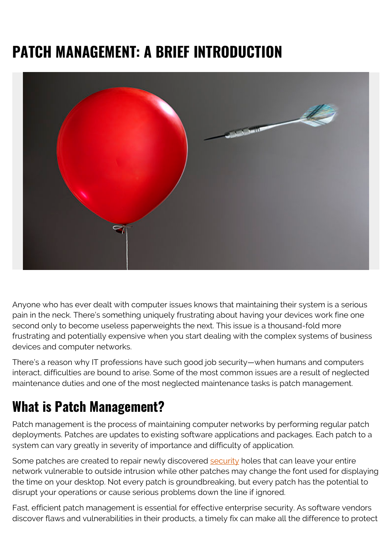# **PATCH MANAGEMENT: A BRIEF INTRODUCTION**



Anyone who has ever dealt with computer issues knows that maintaining their system is a serious pain in the neck. There's something uniquely frustrating about having your devices work fine one second only to become useless paperweights the next. This issue is a thousand-fold more frustrating and potentially expensive when you start dealing with the complex systems of business devices and computer networks.

There's a reason why IT professions have such good job security—when humans and computers interact, difficulties are bound to arise. Some of the most common issues are a result of neglected maintenance duties and one of the most neglected maintenance tasks is patch management.

### **What is Patch Management?**

Patch management is the process of maintaining computer networks by performing regular patch deployments. Patches are updates to existing software applications and packages. Each patch to a system can vary greatly in severity of importance and difficulty of application.

Some patches are created to repair newly discovered [security](https://blogs.bmc.com/blogs/security-vulnerability-vs-threat-vs-risk-whats-difference/) holes that can leave your entire network vulnerable to outside intrusion while other patches may change the font used for displaying the time on your desktop. Not every patch is groundbreaking, but every patch has the potential to disrupt your operations or cause serious problems down the line if ignored.

Fast, efficient patch management is essential for effective enterprise security. As software vendors discover flaws and vulnerabilities in their products, a timely fix can make all the difference to protect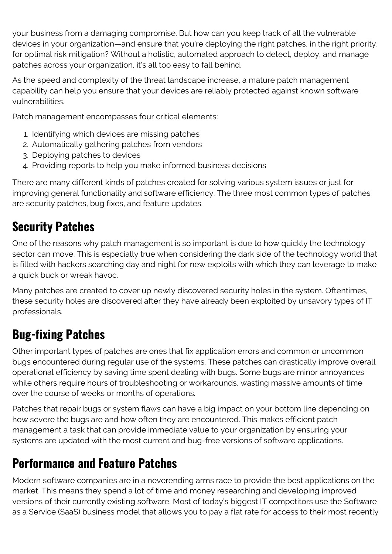your business from a damaging compromise. But how can you keep track of all the vulnerable devices in your organization—and ensure that you're deploying the right patches, in the right priority, for optimal risk mitigation? Without a holistic, automated approach to detect, deploy, and manage patches across your organization, it's all too easy to fall behind.

As the speed and complexity of the threat landscape increase, a mature patch management capability can help you ensure that your devices are reliably protected against known software vulnerabilities.

Patch management encompasses four critical elements:

- 1. Identifying which devices are missing patches
- 2. Automatically gathering patches from vendors
- 3. Deploying patches to devices
- 4. Providing reports to help you make informed business decisions

There are many different kinds of patches created for solving various system issues or just for improving general functionality and software efficiency. The three most common types of patches are security patches, bug fixes, and feature updates.

#### **Security Patches**

One of the reasons why patch management is so important is due to how quickly the technology sector can move. This is especially true when considering the dark side of the technology world that is filled with hackers searching day and night for new exploits with which they can leverage to make a quick buck or wreak havoc.

Many patches are created to cover up newly discovered security holes in the system. Oftentimes, these security holes are discovered after they have already been exploited by unsavory types of IT professionals.

#### **Bug-fixing Patches**

Other important types of patches are ones that fix application errors and common or uncommon bugs encountered during regular use of the systems. These patches can drastically improve overall operational efficiency by saving time spent dealing with bugs. Some bugs are minor annoyances while others require hours of troubleshooting or workarounds, wasting massive amounts of time over the course of weeks or months of operations.

Patches that repair bugs or system flaws can have a big impact on your bottom line depending on how severe the bugs are and how often they are encountered. This makes efficient patch management a task that can provide immediate value to your organization by ensuring your systems are updated with the most current and bug-free versions of software applications.

#### **Performance and Feature Patches**

Modern software companies are in a neverending arms race to provide the best applications on the market. This means they spend a lot of time and money researching and developing improved versions of their currently existing software. Most of today's biggest IT competitors use the Software as a Service (SaaS) business model that allows you to pay a flat rate for access to their most recently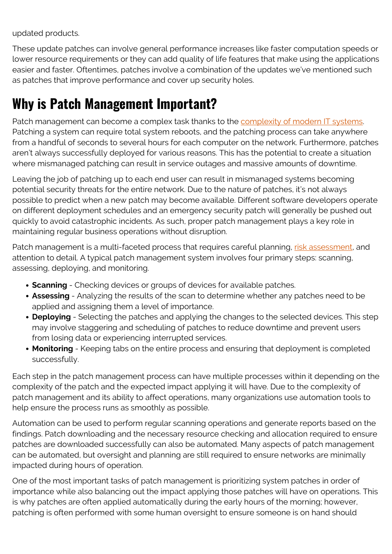updated products.

These update patches can involve general performance increases like faster computation speeds or lower resource requirements or they can add quality of life features that make using the applications easier and faster. Oftentimes, patches involve a combination of the updates we've mentioned such as patches that improve performance and cover up security holes.

## **Why is Patch Management Important?**

Patch management can become a complex task thanks to the [complexity of modern IT systems](https://blogs.bmc.com/blogs/how-complex-systems-fail/). Patching a system can require total system reboots, and the patching process can take anywhere from a handful of seconds to several hours for each computer on the network. Furthermore, patches aren't always successfully deployed for various reasons. This has the potential to create a situation where mismanaged patching can result in service outages and massive amounts of downtime.

Leaving the job of patching up to each end user can result in mismanaged systems becoming potential security threats for the entire network. Due to the nature of patches, it's not always possible to predict when a new patch may become available. Different software developers operate on different deployment schedules and an emergency security patch will generally be pushed out quickly to avoid catastrophic incidents. As such, proper patch management plays a key role in maintaining regular business operations without disruption.

Patch management is a multi-faceted process that requires careful planning, [risk assessment](https://blogs.bmc.com/blogs/risk-assessment-vs-vulnerability-assessment/), and attention to detail. A typical patch management system involves four primary steps: scanning, assessing, deploying, and monitoring.

- **Scanning** Checking devices or groups of devices for available patches.
- **Assessing**  Analyzing the results of the scan to determine whether any patches need to be applied and assigning them a level of importance.
- **Deploying** Selecting the patches and applying the changes to the selected devices. This step may involve staggering and scheduling of patches to reduce downtime and prevent users from losing data or experiencing interrupted services.
- **Monitoring** Keeping tabs on the entire process and ensuring that deployment is completed successfully.

Each step in the patch management process can have multiple processes within it depending on the complexity of the patch and the expected impact applying it will have. Due to the complexity of patch management and its ability to affect operations, many organizations use automation tools to help ensure the process runs as smoothly as possible.

Automation can be used to perform regular scanning operations and generate reports based on the findings. Patch downloading and the necessary resource checking and allocation required to ensure patches are downloaded successfully can also be automated. Many aspects of patch management can be automated, but oversight and planning are still required to ensure networks are minimally impacted during hours of operation.

One of the most important tasks of patch management is prioritizing system patches in order of importance while also balancing out the impact applying those patches will have on operations. This is why patches are often applied automatically during the early hours of the morning; however, patching is often performed with some human oversight to ensure someone is on hand should